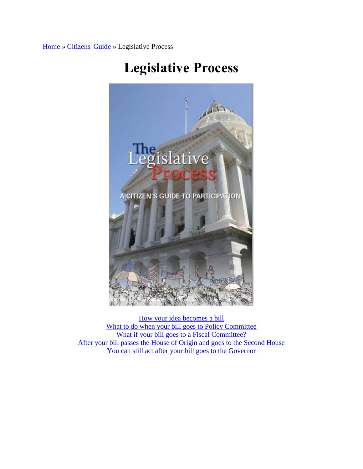[Home](http://senate.ca.gov/) » [Citizens' Guide](http://senate.ca.gov/citizensguide) » Legislative Process



## **Legislative Process**

[How your idea becomes a bill](http://senate.ca.gov/legislativeprocess#step1) [What to do when your bill goes to Policy Committee](http://senate.ca.gov/legislativeprocess#step2) [What if your bill goes to a Fiscal Committee?](http://senate.ca.gov/legislativeprocess#step3) [After your bill passes the House of Origin and goes to the Second House](http://senate.ca.gov/legislativeprocess#step4) [You can still act after your bill goes to the Governor](http://senate.ca.gov/legislativeprocess#step5)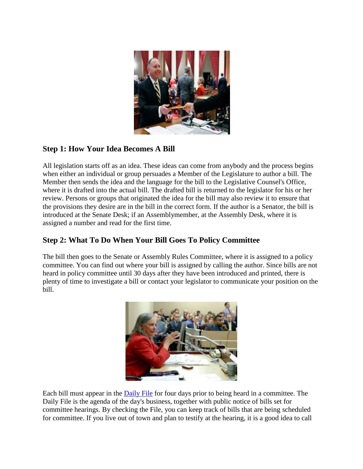

## **Step 1: How Your Idea Becomes A Bill**

All legislation starts off as an idea. These ideas can come from anybody and the process begins when either an individual or group persuades a Member of the Legislature to author a bill. The Member then sends the idea and the language for the bill to the Legislative Counsel's Office, where it is drafted into the actual bill. The drafted bill is returned to the legislator for his or her review. Persons or groups that originated the idea for the bill may also review it to ensure that the provisions they desire are in the bill in the correct form. If the author is a Senator, the bill is introduced at the Senate Desk; if an Assemblymember, at the Assembly Desk, where it is assigned a number and read for the first time.

## **Step 2: What To Do When Your Bill Goes To Policy Committee**

The bill then goes to the Senate or Assembly Rules Committee, where it is assigned to a policy committee. You can find out where your bill is assigned by calling the author. Since bills are not heard in policy committee until 30 days after they have been introduced and printed, there is plenty of time to investigate a bill or contact your legislator to communicate your position on the bill.



Each bill must appear in the [Daily File](http://senate.ca.gov/dailyfile) for four days prior to being heard in a committee. The Daily File is the agenda of the day's business, together with public notice of bills set for committee hearings. By checking the File, you can keep track of bills that are being scheduled for committee. If you live out of town and plan to testify at the hearing, it is a good idea to call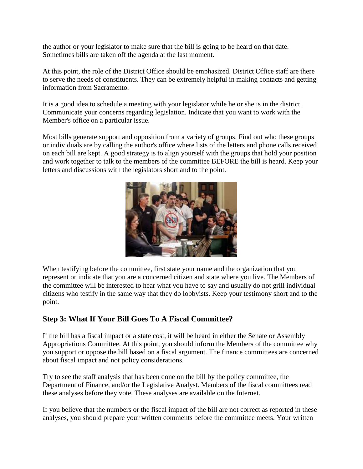the author or your legislator to make sure that the bill is going to be heard on that date. Sometimes bills are taken off the agenda at the last moment.

At this point, the role of the District Office should be emphasized. District Office staff are there to serve the needs of constituents. They can be extremely helpful in making contacts and getting information from Sacramento.

It is a good idea to schedule a meeting with your legislator while he or she is in the district. Communicate your concerns regarding legislation. Indicate that you want to work with the Member's office on a particular issue.

Most bills generate support and opposition from a variety of groups. Find out who these groups or individuals are by calling the author's office where lists of the letters and phone calls received on each bill are kept. A good strategy is to align yourself with the groups that hold your position and work together to talk to the members of the committee BEFORE the bill is heard. Keep your letters and discussions with the legislators short and to the point.



When testifying before the committee, first state your name and the organization that you represent or indicate that you are a concerned citizen and state where you live. The Members of the committee will be interested to hear what you have to say and usually do not grill individual citizens who testify in the same way that they do lobbyists. Keep your testimony short and to the point.

## **Step 3: What If Your Bill Goes To A Fiscal Committee?**

If the bill has a fiscal impact or a state cost, it will be heard in either the Senate or Assembly Appropriations Committee. At this point, you should inform the Members of the committee why you support or oppose the bill based on a fiscal argument. The finance committees are concerned about fiscal impact and not policy considerations.

Try to see the staff analysis that has been done on the bill by the policy committee, the Department of Finance, and/or the Legislative Analyst. Members of the fiscal committees read these analyses before they vote. These analyses are available on the Internet.

If you believe that the numbers or the fiscal impact of the bill are not correct as reported in these analyses, you should prepare your written comments before the committee meets. Your written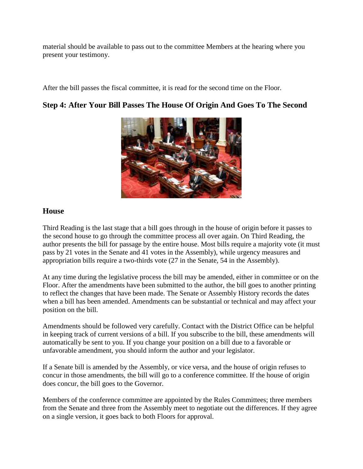material should be available to pass out to the committee Members at the hearing where you present your testimony.

After the bill passes the fiscal committee, it is read for the second time on the Floor.

## **Step 4: After Your Bill Passes The House Of Origin And Goes To The Second**



#### **House**

Third Reading is the last stage that a bill goes through in the house of origin before it passes to the second house to go through the committee process all over again. On Third Reading, the author presents the bill for passage by the entire house. Most bills require a majority vote (it must pass by 21 votes in the Senate and 41 votes in the Assembly), while urgency measures and appropriation bills require a two-thirds vote (27 in the Senate, 54 in the Assembly).

At any time during the legislative process the bill may be amended, either in committee or on the Floor. After the amendments have been submitted to the author, the bill goes to another printing to reflect the changes that have been made. The Senate or Assembly History records the dates when a bill has been amended. Amendments can be substantial or technical and may affect your position on the bill.

Amendments should be followed very carefully. Contact with the District Office can be helpful in keeping track of current versions of a bill. If you subscribe to the bill, these amendments will automatically be sent to you. If you change your position on a bill due to a favorable or unfavorable amendment, you should inform the author and your legislator.

If a Senate bill is amended by the Assembly, or vice versa, and the house of origin refuses to concur in those amendments, the bill will go to a conference committee. If the house of origin does concur, the bill goes to the Governor.

Members of the conference committee are appointed by the Rules Committees; three members from the Senate and three from the Assembly meet to negotiate out the differences. If they agree on a single version, it goes back to both Floors for approval.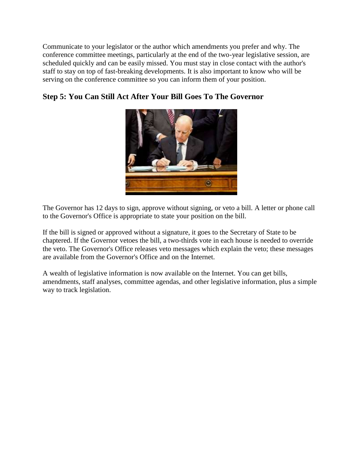Communicate to your legislator or the author which amendments you prefer and why. The conference committee meetings, particularly at the end of the two-year legislative session, are scheduled quickly and can be easily missed. You must stay in close contact with the author's staff to stay on top of fast-breaking developments. It is also important to know who will be serving on the conference committee so you can inform them of your position.





The Governor has 12 days to sign, approve without signing, or veto a bill. A letter or phone call to the Governor's Office is appropriate to state your position on the bill.

If the bill is signed or approved without a signature, it goes to the Secretary of State to be chaptered. If the Governor vetoes the bill, a two-thirds vote in each house is needed to override the veto. The Governor's Office releases veto messages which explain the veto; these messages are available from the Governor's Office and on the Internet.

A wealth of legislative information is now available on the Internet. You can get bills, amendments, staff analyses, committee agendas, and other legislative information, plus a simple way to track legislation.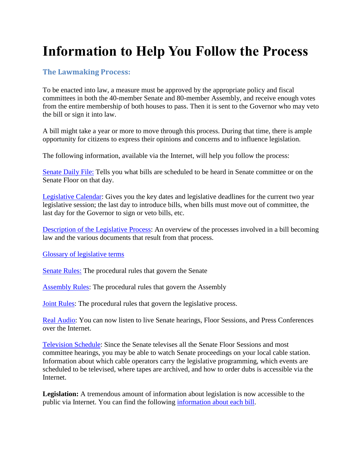# **Information to Help You Follow the Process**

#### **The Lawmaking Process:**

To be enacted into law, a measure must be approved by the appropriate policy and fiscal committees in both the 40-member Senate and 80-member Assembly, and receive enough votes from the entire membership of both houses to pass. Then it is sent to the Governor who may veto the bill or sign it into law.

A bill might take a year or more to move through this process. During that time, there is ample opportunity for citizens to express their opinions and concerns and to influence legislation.

The following information, available via the Internet, will help you follow the process:

[Senate Daily File:](http://senate.ca.gov/dailyfile) Tells you what bills are scheduled to be heard in Senate committee or on the Senate Floor on that day.

[Legislative Calendar:](http://senate.ca.gov/sites/senate.ca.gov/files/jointCalendar2011.pdf) Gives you the key dates and legislative deadlines for the current two year legislative session; the last day to introduce bills, when bills must move out of committee, the last day for the Governor to sign or veto bills, etc.

[Description of the Legislative Process:](http://senate.ca.gov/legislativeprocess) An overview of the processes involved in a bill becoming law and the various documents that result from that process.

[Glossary of legislative terms](http://senate.ca.gov/glossary)

[Senate Rules:](http://www.leginfo.ca.gov/rules/senate_rules.html) The procedural rules that govern the Senate

[Assembly Rules:](http://www.leginfo.ca.gov/rules/assembly_rules.pdf) The procedural rules that govern the Assembly

[Joint Rules:](http://www.leginfo.ca.gov/rules/joint_rules.html) The procedural rules that govern the legislative process.

[Real Audio:](http://senate.ca.gov/audiotv) You can now listen to live Senate hearings, Floor Sessions, and Press Conferences over the Internet.

[Television Schedule:](http://senate.ca.gov/tvschedule) Since the Senate televises all the Senate Floor Sessions and most committee hearings, you may be able to watch Senate proceedings on your local cable station. Information about which cable operators carry the legislative programming, which events are scheduled to be televised, where tapes are archived, and how to order dubs is accessible via the Internet.

**Legislation:** A tremendous amount of information about legislation is now accessible to the public via Internet. You can find the following [information about each bill.](http://www.leginfo.ca.gov/)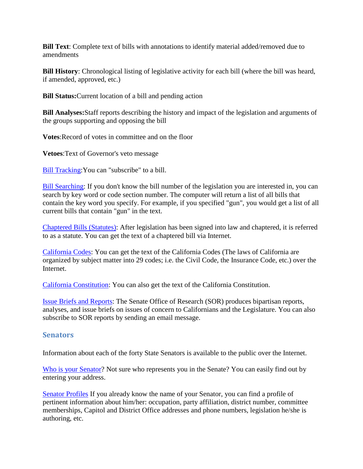**Bill Text**: Complete text of bills with annotations to identify material added/removed due to amendments

**Bill History**: Chronological listing of legislative activity for each bill (where the bill was heard, if amended, approved, etc.)

**Bill Status:**Current location of a bill and pending action

**Bill Analyses:**Staff reports describing the history and impact of the legislation and arguments of the groups supporting and opposing the bill

**Votes**:Record of votes in committee and on the floor

**Vetoes**:Text of Governor's veto message

[Bill Tracking:](http://www.leginfo.ca.gov/bilinfo.html)You can "subscribe" to a bill.

[Bill Searching:](http://www.leginfo.ca.gov/bilinfo.html) If you don't know the bill number of the legislation you are interested in, you can search by key word or code section number. The computer will return a list of all bills that contain the key word you specify. For example, if you specified "gun", you would get a list of all current bills that contain "gun" in the text.

[Chaptered Bills \(Statutes\):](http://www.leginfo.ca.gov/statute.html) After legislation has been signed into law and chaptered, it is referred to as a statute. You can get the text of a chaptered bill via Internet.

[California Codes:](http://www.leginfo.ca.gov/calaw.html) You can get the text of the California Codes (The laws of California are organized by subject matter into 29 codes; i.e. the Civil Code, the Insurance Code, etc.) over the Internet.

[California Constitution:](http://www.leginfo.ca.gov/const.html) You can also get the text of the California Constitution.

[Issue Briefs and Reports:](http://www.senate.ca.gov/sor/) The Senate Office of Research (SOR) produces bipartisan reports, analyses, and issue briefs on issues of concern to Californians and the Legislature. You can also subscribe to SOR reports by sending an email message.

#### **Senators**

Information about each of the forty State Senators is available to the public over the Internet.

[Who is your Senator?](http://192.234.213.69/smapsearch/framepage.asp) Not sure who represents you in the Senate? You can easily find out by entering your address.

[Senator Profiles](http://senate.ca.gov/senators) If you already know the name of your Senator, you can find a profile of pertinent information about him/her: occupation, party affiliation, district number, committee memberships, Capitol and District Office addresses and phone numbers, legislation he/she is authoring, etc.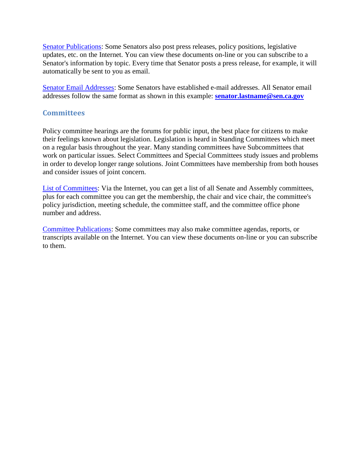[Senator Publications:](http://senate.ca.gov/senators) Some Senators also post press releases, policy positions, legislative updates, etc. on the Internet. You can view these documents on-line or you can subscribe to a Senator's information by topic. Every time that Senator posts a press release, for example, it will automatically be sent to you as email.

[Senator Email Addresses:](http://senate.ca.gov/senators) Some Senators have established e-mail addresses. All Senator email addresses follow the same format as shown in this example: **[senator.lastname@sen.ca.gov](mailto:senator.lastname@sen.ca.gov)**

#### **Committees**

Policy committee hearings are the forums for public input, the best place for citizens to make their feelings known about legislation. Legislation is heard in Standing Committees which meet on a regular basis throughout the year. Many standing committees have Subcommittees that work on particular issues. Select Committees and Special Committees study issues and problems in order to develop longer range solutions. Joint Committees have membership from both houses and consider issues of joint concern.

[List of Committees:](http://senate.ca.gov/committees) Via the Internet, you can get a list of all Senate and Assembly committees, plus for each committee you can get the membership, the chair and vice chair, the committee's policy jurisdiction, meeting schedule, the committee staff, and the committee office phone number and address.

[Committee Publications:](http://senate.ca.gov/committees) Some committees may also make committee agendas, reports, or transcripts available on the Internet. You can view these documents on-line or you can subscribe to them.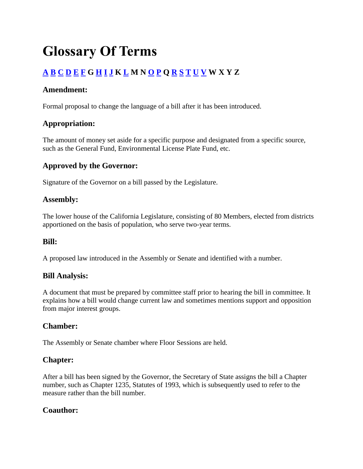## **Glossary Of Terms**

## **[A](http://senate.ca.gov/glossary#A) [B](http://senate.ca.gov/glossary#B) [C](http://senate.ca.gov/glossary#C) [D](http://senate.ca.gov/glossary#D) [E](http://senate.ca.gov/glossary#E) [F](http://senate.ca.gov/glossary#F) G [H](http://senate.ca.gov/glossary#H) [I](http://senate.ca.gov/glossary#I) [J](http://senate.ca.gov/glossary#J) K [L](http://senate.ca.gov/glossary#L) M N [O](http://senate.ca.gov/glossary#O) [P](http://senate.ca.gov/glossary#P) Q [R](http://senate.ca.gov/glossary#R) [S](http://senate.ca.gov/glossary#S) [T](http://senate.ca.gov/glossary#T) [U](http://senate.ca.gov/glossary#U) [V](http://senate.ca.gov/glossary#V) W X Y Z**

#### **Amendment:**

Formal proposal to change the language of a bill after it has been introduced.

## **Appropriation:**

The amount of money set aside for a specific purpose and designated from a specific source, such as the General Fund, Environmental License Plate Fund, etc.

## **Approved by the Governor:**

Signature of the Governor on a bill passed by the Legislature.

#### **Assembly:**

The lower house of the California Legislature, consisting of 80 Members, elected from districts apportioned on the basis of population, who serve two-year terms.

#### **Bill:**

A proposed law introduced in the Assembly or Senate and identified with a number.

#### **Bill Analysis:**

A document that must be prepared by committee staff prior to hearing the bill in committee. It explains how a bill would change current law and sometimes mentions support and opposition from major interest groups.

## **Chamber:**

The Assembly or Senate chamber where Floor Sessions are held.

## **Chapter:**

After a bill has been signed by the Governor, the Secretary of State assigns the bill a Chapter number, such as Chapter 1235, Statutes of 1993, which is subsequently used to refer to the measure rather than the bill number.

## **Coauthor:**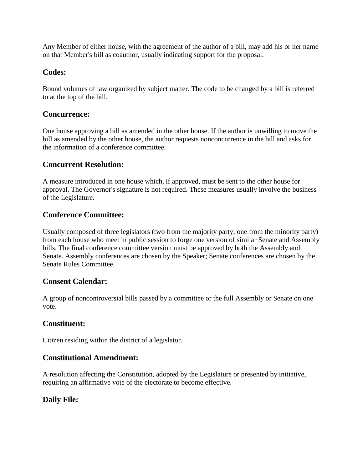Any Member of either house, with the agreement of the author of a bill, may add his or her name on that Member's bill as coauthor, usually indicating support for the proposal.

## **Codes:**

Bound volumes of law organized by subject matter. The code to be changed by a bill is referred to at the top of the bill.

### **Concurrence:**

One house approving a bill as amended in the other house. If the author is unwilling to move the bill as amended by the other house, the author requests nonconcurrence in the bill and asks for the information of a conference committee.

## **Concurrent Resolution:**

A measure introduced in one house which, if approved, must be sent to the other house for approval. The Governor's signature is not required. These measures usually involve the business of the Legislature.

## **Conference Committee:**

Usually composed of three legislators (two from the majority party; one from the minority party) from each house who meet in public session to forge one version of similar Senate and Assembly bills. The final conference committee version must be approved by both the Assembly and Senate. Assembly conferences are chosen by the Speaker; Senate conferences are chosen by the Senate Rules Committee.

## **Consent Calendar:**

A group of noncontroversial bills passed by a committee or the full Assembly or Senate on one vote.

#### **Constituent:**

Citizen residing within the district of a legislator.

## **Constitutional Amendment:**

A resolution affecting the Constitution, adopted by the Legislature or presented by initiative, requiring an affirmative vote of the electorate to become effective.

## **Daily File:**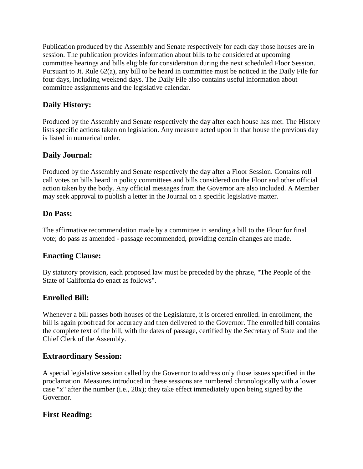Publication produced by the Assembly and Senate respectively for each day those houses are in session. The publication provides information about bills to be considered at upcoming committee hearings and bills eligible for consideration during the next scheduled Floor Session. Pursuant to Jt. Rule 62(a), any bill to be heard in committee must be noticed in the Daily File for four days, including weekend days. The Daily File also contains useful information about committee assignments and the legislative calendar.

## **Daily History:**

Produced by the Assembly and Senate respectively the day after each house has met. The History lists specific actions taken on legislation. Any measure acted upon in that house the previous day is listed in numerical order.

#### **Daily Journal:**

Produced by the Assembly and Senate respectively the day after a Floor Session. Contains roll call votes on bills heard in policy committees and bills considered on the Floor and other official action taken by the body. Any official messages from the Governor are also included. A Member may seek approval to publish a letter in the Journal on a specific legislative matter.

#### **Do Pass:**

The affirmative recommendation made by a committee in sending a bill to the Floor for final vote; do pass as amended - passage recommended, providing certain changes are made.

#### **Enacting Clause:**

By statutory provision, each proposed law must be preceded by the phrase, "The People of the State of California do enact as follows".

#### **Enrolled Bill:**

Whenever a bill passes both houses of the Legislature, it is ordered enrolled. In enrollment, the bill is again proofread for accuracy and then delivered to the Governor. The enrolled bill contains the complete text of the bill, with the dates of passage, certified by the Secretary of State and the Chief Clerk of the Assembly.

#### **Extraordinary Session:**

A special legislative session called by the Governor to address only those issues specified in the proclamation. Measures introduced in these sessions are numbered chronologically with a lower case "x" after the number (i.e., 28x); they take effect immediately upon being signed by the Governor.

#### **First Reading:**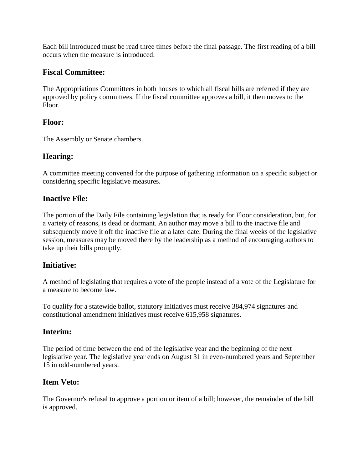Each bill introduced must be read three times before the final passage. The first reading of a bill occurs when the measure is introduced.

#### **Fiscal Committee:**

The Appropriations Committees in both houses to which all fiscal bills are referred if they are approved by policy committees. If the fiscal committee approves a bill, it then moves to the Floor.

#### **Floor:**

The Assembly or Senate chambers.

#### **Hearing:**

A committee meeting convened for the purpose of gathering information on a specific subject or considering specific legislative measures.

## **Inactive File:**

The portion of the Daily File containing legislation that is ready for Floor consideration, but, for a variety of reasons, is dead or dormant. An author may move a bill to the inactive file and subsequently move it off the inactive file at a later date. During the final weeks of the legislative session, measures may be moved there by the leadership as a method of encouraging authors to take up their bills promptly.

## **Initiative:**

A method of legislating that requires a vote of the people instead of a vote of the Legislature for a measure to become law.

To qualify for a statewide ballot, statutory initiatives must receive 384,974 signatures and constitutional amendment initiatives must receive 615,958 signatures.

## **Interim:**

The period of time between the end of the legislative year and the beginning of the next legislative year. The legislative year ends on August 31 in even-numbered years and September 15 in odd-numbered years.

#### **Item Veto:**

The Governor's refusal to approve a portion or item of a bill; however, the remainder of the bill is approved.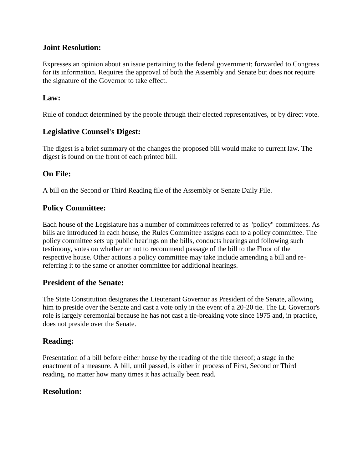#### **Joint Resolution:**

Expresses an opinion about an issue pertaining to the federal government; forwarded to Congress for its information. Requires the approval of both the Assembly and Senate but does not require the signature of the Governor to take effect.

#### **Law:**

Rule of conduct determined by the people through their elected representatives, or by direct vote.

#### **Legislative Counsel's Digest:**

The digest is a brief summary of the changes the proposed bill would make to current law. The digest is found on the front of each printed bill.

## **On File:**

A bill on the Second or Third Reading file of the Assembly or Senate Daily File.

## **Policy Committee:**

Each house of the Legislature has a number of committees referred to as "policy" committees. As bills are introduced in each house, the Rules Committee assigns each to a policy committee. The policy committee sets up public hearings on the bills, conducts hearings and following such testimony, votes on whether or not to recommend passage of the bill to the Floor of the respective house. Other actions a policy committee may take include amending a bill and rereferring it to the same or another committee for additional hearings.

#### **President of the Senate:**

The State Constitution designates the Lieutenant Governor as President of the Senate, allowing him to preside over the Senate and cast a vote only in the event of a 20-20 tie. The Lt. Governor's role is largely ceremonial because he has not cast a tie-breaking vote since 1975 and, in practice, does not preside over the Senate.

## **Reading:**

Presentation of a bill before either house by the reading of the title thereof; a stage in the enactment of a measure. A bill, until passed, is either in process of First, Second or Third reading, no matter how many times it has actually been read.

#### **Resolution:**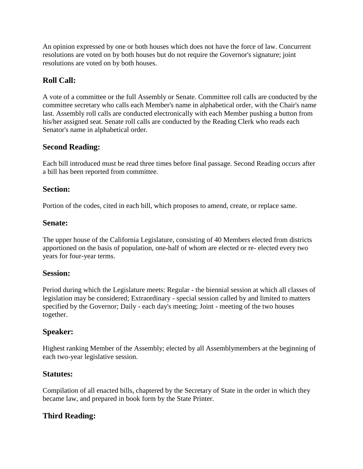An opinion expressed by one or both houses which does not have the force of law. Concurrent resolutions are voted on by both houses but do not require the Governor's signature; joint resolutions are voted on by both houses.

## **Roll Call:**

A vote of a committee or the full Assembly or Senate. Committee roll calls are conducted by the committee secretary who calls each Member's name in alphabetical order, with the Chair's name last. Assembly roll calls are conducted electronically with each Member pushing a button from his/her assigned seat. Senate roll calls are conducted by the Reading Clerk who reads each Senator's name in alphabetical order.

#### **Second Reading:**

Each bill introduced must be read three times before final passage. Second Reading occurs after a bill has been reported from committee.

#### **Section:**

Portion of the codes, cited in each bill, which proposes to amend, create, or replace same.

#### **Senate:**

The upper house of the California Legislature, consisting of 40 Members elected from districts apportioned on the basis of population, one-half of whom are elected or re- elected every two years for four-year terms.

#### **Session:**

Period during which the Legislature meets: Regular - the biennial session at which all classes of legislation may be considered; Extraordinary - special session called by and limited to matters specified by the Governor; Daily - each day's meeting; Joint - meeting of the two houses together.

#### **Speaker:**

Highest ranking Member of the Assembly; elected by all Assemblymembers at the beginning of each two-year legislative session.

#### **Statutes:**

Compilation of all enacted bills, chaptered by the Secretary of State in the order in which they became law, and prepared in book form by the State Printer.

## **Third Reading:**